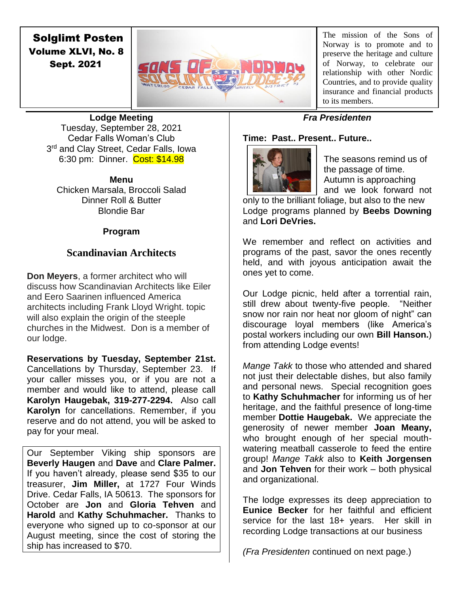# Solglimt Posten Volume XLVI, No. 8 Sept. 2021



The mission of the Sons of Norway is to promote and to preserve the heritage and culture of Norway, to celebrate our relationship with other Nordic Countries, and to provide quality insurance and financial products to its members.

**Lodge Meeting** Tuesday, September 28, 2021 Cedar Falls Woman's Club 3<sup>rd</sup> and Clay Street, Cedar Falls, Iowa 6:30 pm: Dinner. Cost: \$14.98

## **Menu**

Chicken Marsala, Broccoli Salad Dinner Roll & Butter Blondie Bar

### **Program**

## **Scandinavian Architects**

**Don Meyers**, a former architect who will discuss how Scandinavian Architects like Eiler and Eero Saarinen influenced America architects including Frank Lloyd Wright. topic will also explain the origin of the steeple churches in the Midwest. Don is a member of our lodge.

**Reservations by Tuesday, September 21st.**  Cancellations by Thursday, September 23. If your caller misses you, or if you are not a member and would like to attend, please call **Karolyn Haugebak, 319-277-2294.** Also call **Karolyn** for cancellations. Remember, if you reserve and do not attend, you will be asked to pay for your meal.

Our September Viking ship sponsors are **Beverly Haugen** and **Dave** and **Clare Palmer.**  If you haven't already, please send \$35 to our treasurer, **Jim Miller,** at 1727 Four Winds Drive. Cedar Falls, IA 50613. The sponsors for October are **Jon** and **Gloria Tehven** and **Harold** and **Kathy Schuhmacher.** Thanks to everyone who signed up to co-sponsor at our August meeting, since the cost of storing the ship has increased to \$70.

## *Fra Presidenten*

## **Time: Past.. Present.. Future..**



The seasons remind us of the passage of time. Autumn is approaching and we look forward not

only to the brilliant foliage, but also to the new Lodge programs planned by **Beebs Downing**  and **Lori DeVries.** 

We remember and reflect on activities and programs of the past, savor the ones recently held, and with joyous anticipation await the ones yet to come.

Our Lodge picnic, held after a torrential rain, still drew about twenty-five people. "Neither snow nor rain nor heat nor gloom of night" can discourage loyal members (like America's postal workers including our own **Bill Hanson.**) from attending Lodge events!

*Mange Takk* to those who attended and shared not just their delectable dishes, but also family and personal news. Special recognition goes to **Kathy Schuhmacher** for informing us of her heritage, and the faithful presence of long-time member **Dottie Haugebak.** We appreciate the generosity of newer member **Joan Meany,**  who brought enough of her special mouthwatering meatball casserole to feed the entire group! *Mange Takk* also to **Keith Jorgensen**  and **Jon Tehven** for their work – both physical and organizational.

The lodge expresses its deep appreciation to **Eunice Becker** for her faithful and efficient service for the last 18+ years. Her skill in recording Lodge transactions at our business

*(Fra Presidenten* continued on next page.)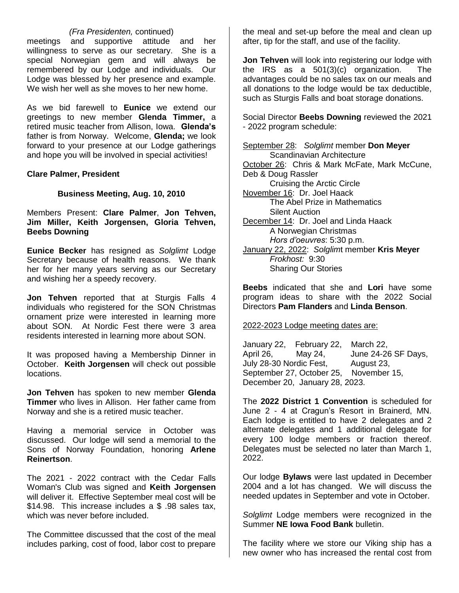### *(Fra Presidenten,* continued)

meetings and supportive attitude and her willingness to serve as our secretary. She is a special Norwegian gem and will always be remembered by our Lodge and individuals. Our Lodge was blessed by her presence and example. We wish her well as she moves to her new home.

As we bid farewell to **Eunice** we extend our greetings to new member **Glenda Timmer,** a retired music teacher from Allison, Iowa. **Glenda's**  father is from Norway. Welcome, **Glenda;** we look forward to your presence at our Lodge gatherings and hope you will be involved in special activities!

**Clare Palmer, President**

#### **Business Meeting, Aug. 10, 2010**

Members Present: **Clare Palmer**, **Jon Tehven, Jim Miller, Keith Jorgensen, Gloria Tehven, Beebs Downing**

**Eunice Becker** has resigned as *Solglimt* Lodge Secretary because of health reasons. We thank her for her many years serving as our Secretary and wishing her a speedy recovery.

**Jon Tehven** reported that at Sturgis Falls 4 individuals who registered for the SON Christmas ornament prize were interested in learning more about SON. At Nordic Fest there were 3 area residents interested in learning more about SON.

It was proposed having a Membership Dinner in October. **Keith Jorgensen** will check out possible locations.

**Jon Tehven** has spoken to new member **Glenda Timmer** who lives in Allison. Her father came from Norway and she is a retired music teacher.

Having a memorial service in October was discussed. Our lodge will send a memorial to the Sons of Norway Foundation, honoring **Arlene Reinertson**.

The 2021 - 2022 contract with the Cedar Falls Woman's Club was signed and **Keith Jorgensen** will deliver it. Effective September meal cost will be \$14.98. This increase includes a \$ .98 sales tax, which was never before included.

The Committee discussed that the cost of the meal includes parking, cost of food, labor cost to prepare

the meal and set-up before the meal and clean up after, tip for the staff, and use of the facility.

**Jon Tehven** will look into registering our lodge with the IRS as a 501(3)(c) organization. The advantages could be no sales tax on our meals and all donations to the lodge would be tax deductible, such as Sturgis Falls and boat storage donations.

Social Director **Beebs Downing** reviewed the 2021 - 2022 program schedule:

September 28: *Solglimt* member **Don Meyer** Scandinavian Architecture October 26: Chris & Mark McFate, Mark McCune, Deb & Doug Rassler Cruising the Arctic Circle November 16: Dr. Joel Haack The Abel Prize in Mathematics Silent Auction December 14: Dr. Joel and Linda Haack A Norwegian Christmas *Hors d'oeuvres*: 5:30 p.m. January 22, 2022: *Solglim*t member **Kris Meyer** *Frokhost:* 9:30 Sharing Our Stories

**Beebs** indicated that she and **Lori** have some program ideas to share with the 2022 Social Directors **Pam Flanders** and **Linda Benson**.

#### 2022-2023 Lodge meeting dates are:

January 22, February 22, March 22, April 26, May 24, June 24-26 SF Days, July 28-30 Nordic Fest, August 23, September 27, October 25, November 15, December 20, January 28, 2023.

The **2022 District 1 Convention** is scheduled for June 2 - 4 at Cragun's Resort in Brainerd, MN. Each lodge is entitled to have 2 delegates and 2 alternate delegates and 1 additional delegate for every 100 lodge members or fraction thereof. Delegates must be selected no later than March 1, 2022.

Our lodge **Bylaws** were last updated in December 2004 and a lot has changed. We will discuss the needed updates in September and vote in October.

*Solglimt* Lodge members were recognized in the Summer **NE Iowa Food Bank** bulletin.

The facility where we store our Viking ship has a new owner who has increased the rental cost from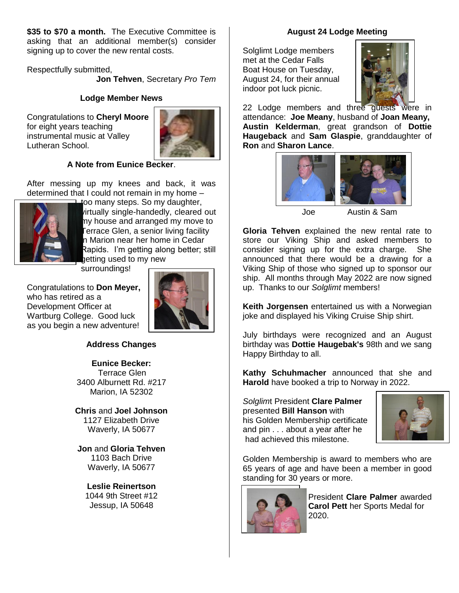**\$35 to \$70 a month.** The Executive Committee is asking that an additional member(s) consider signing up to cover the new rental costs.

Respectfully submitted,

**Jon Tehven**, Secretary *Pro Tem*

### **Lodge Member News**

Congratulations to **Cheryl Moore**  for eight years teaching instrumental music at Valley Lutheran School.



### **A Note from Eunice Becker**.

After messing up my knees and back, it was determined that I could not remain in my home –



too many steps. So my daughter, virtually single-handedly, cleared out my house and arranged my move to Terrace Glen, a senior living facility n Marion near her home in Cedar Rapids. I'm getting along better; still getting used to my new

surroundings!

Congratulations to **Don Meyer,**  who has retired as a Development Officer at Wartburg College. Good luck as you begin a new adventure!



### **Address Changes**

#### **Eunice Becker:**

Terrace Glen 3400 Alburnett Rd. #217 Marion, IA 52302

**Chris** and **Joel Johnson** 1127 Elizabeth Drive Waverly, IA 50677

**Jon** and **Gloria Tehven** 1103 Bach Drive Waverly, IA 50677

### **Leslie Reinertson**

1044 9th Street #12 Jessup, IA 50648

#### **August 24 Lodge Meeting**

Solglimt Lodge members met at the Cedar Falls Boat House on Tuesday, August 24, for their annual indoor pot luck picnic.



22 Lodge members and three guests were in attendance: **Joe Meany**, husband of **Joan Meany, Austin Kelderman**, great grandson of **Dottie Haugeback** and **Sam Glaspie**, granddaughter of **Ron** and **Sharon Lance**.



Joe Austin & Sam

**Gloria Tehven** explained the new rental rate to store our Viking Ship and asked members to consider signing up for the extra charge. She announced that there would be a drawing for a Viking Ship of those who signed up to sponsor our ship. All months through May 2022 are now signed up. Thanks to our *Solglimt* members!

**Keith Jorgensen** entertained us with a Norwegian joke and displayed his Viking Cruise Ship shirt.

July birthdays were recognized and an August birthday was **Dottie Haugebak's** 98th and we sang Happy Birthday to all.

**Kathy Schuhmacher** announced that she and **Harold** have booked a trip to Norway in 2022.

*Solglim*t President **Clare Palmer** presented **Bill Hanson** with his Golden Membership certificate and pin . . . about a year after he had achieved this milestone.



Golden Membership is award to members who are 65 years of age and have been a member in good standing for 30 years or more.



 President **Clare Palmer** awarded **Carol Pett** her Sports Medal for 2020.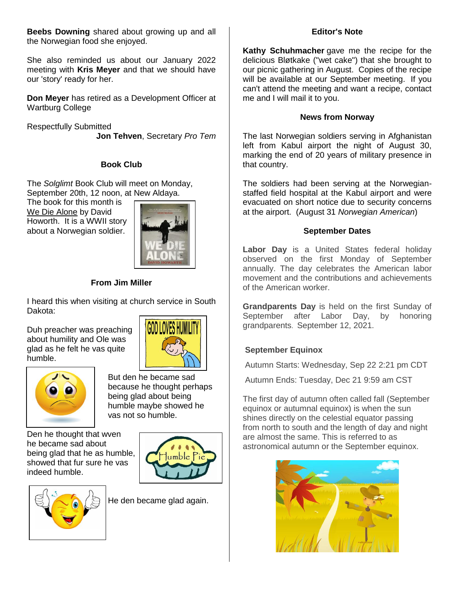**Beebs Downing** shared about growing up and all the Norwegian food she enjoyed.

She also reminded us about our January 2022 meeting with **Kris Meyer** and that we should have our 'story' ready for her.

**Don Meyer** has retired as a Development Officer at Wartburg College

Respectfully Submitted **Jon Tehven**, Secretary *Pro Tem*

### **Book Club**

The *Solglimt* Book Club will meet on Monday, September 20th, 12 noon, at New Aldaya.

The book for this month is We Die Alone by David Howorth. It is a WWII story about a Norwegian soldier.



## **From Jim Miller**

I heard this when visiting at church service in South Dakota:

Duh preacher was preaching about humility and Ole was glad as he felt he vas quite humble.





But den he became sad because he thought perhaps being glad about being humble maybe showed he vas not so humble.

Den he thought that wven he became sad about being glad that he as humble, showed that fur sure he vas indeed humble.



He den became glad again.

### **Editor's Note**

**Kathy Schuhmacher** gave me the recipe for the delicious Bløtkake ("wet cake") that she brought to our picnic gathering in August. Copies of the recipe will be available at our September meeting. If you can't attend the meeting and want a recipe, contact me and I will mail it to you.

### **News from Norway**

The last Norwegian soldiers serving in Afghanistan left from Kabul airport the night of August 30, marking the end of 20 years of military presence in that country.

The soldiers had been serving at the Norwegianstaffed field hospital at the Kabul airport and were evacuated on short notice due to security concerns at the airport. (August 31 *Norwegian American*)

### **September Dates**

**Labor Day** is a United States federal holiday observed on the first Monday of September annually. The day celebrates the American labor movement and the contributions and achievements of the American worker.

**Grandparents Day** is held on the first Sunday of September after Labor Day, by honoring grandparents. September 12, 2021.

## **September Equinox**

Autumn Starts: Wednesday, Sep 22 2:21 pm CDT

Autumn Ends: Tuesday, Dec 21 9:59 am CST

The first day of autumn often called fall (September equinox or autumnal equinox) is when the sun shines directly on the celestial equator passing from north to south and the length of day and night are almost the same. This is referred to as astronomical autumn or the September equinox.

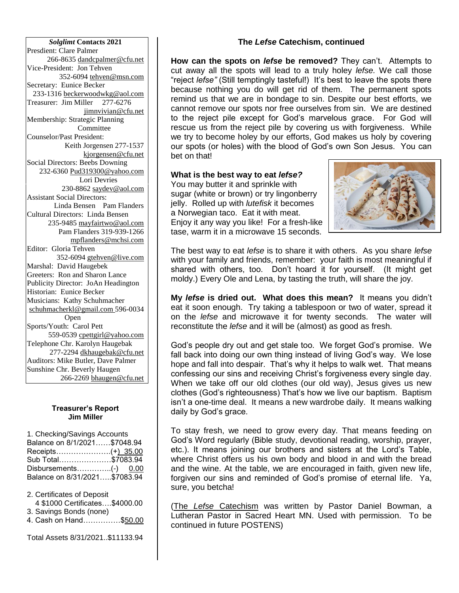*Solglimt* **Contacts 2021** Presdient: Clare Palmer 266-8635 dandcpalmer@cfu.net Vice-President: Jon Tehven 352-6094 tehven@msn.com Secretary: Eunice Becker 233-1316 [beckerwoodwkg@aol.com](mailto:beckerwoodwkg@aol.com) Treasurer: Jim Miller 277-6276 jimnvivian@cfu.net Membership: Strategic Planning Committee Counselor/Past President: Keith Jorgensen 277-1537 kjorgensen@cfu.net Social Directors: Beebs Downing 232-6360 Pud319300@yahoo.com Lori Devries 230-8862 saydev@aol.com Assistant Social Directors: Linda Bensen Pam Flanders Cultural Directors: Linda Bensen 235-9485 [mayfairtwo@aol.com](mailto:mayfairtwo@aol.com)  Pam Flanders 319-939-1266 mpflanders@mchsi.com Editor: Gloria Tehven 352-6094 [gtehven@live.com](mailto:gtehven@live.com) Marshal: David Haugebek Greeters: Ron and Sharon Lance Publicity Director: JoAn Headington Historian: Eunice Becker Musicians: Kathy Schuhmacher [schuhmacherkl@gmail.com](mailto:schuhmacherkl@gmail.com) 596-0034 Open Sports/Youth: Carol Pett 559-0539 cpettgirl@yahoo.com Telephone Chr. Karolyn Haugebak 277-2294 [dkhaugebak@cfu.net](mailto:dkhaugebak@cfu.net) Auditors: Mike Butler, Dave Palmer Sunshine Chr. Beverly Haugen 266-2269 bhaugen@cfu.net

#### **Treasurer's Report Jim Miller**

1. Checking/Savings Accounts Balance on 8/1/2021……\$7048.94 Receipts………………….(+) 35.00 Sub Total…………………\$7083.94 Disbursements…………..(-) 0.00 Balance on 8/31/2021…..\$7083.94

2. Certificates of Deposit 4 \$1000 Certificates….\$4000.00 3. Savings Bonds (none) 4. Cash on Hand……………\$50.00

Total Assets 8/31/2021..\$11133.94

#### **The** *Lefse* **Catechism, continued**

**How can the spots on** *lefse* **be removed?** They can't. Attempts to cut away all the spots will lead to a truly holey *lefse.* We call those "reject *lefse"* (Still temptingly tasteful!) It's best to leave the spots there because nothing you do will get rid of them. The permanent spots remind us that we are in bondage to sin. Despite our best efforts, we cannot remove our spots nor free ourselves from sin. We are destined to the reject pile except for God's marvelous grace. For God will rescue us from the reject pile by covering us with forgiveness. While we try to become holey by our efforts, God makes us holy by covering our spots (or holes) with the blood of God's own Son Jesus. You can bet on that!

#### **What is the best way to eat** *lefse?*

You may butter it and sprinkle with sugar (white or brown) or try lingonberry jelly. Rolled up with *lutefisk* it becomes a Norwegian taco. Eat it with meat. Enjoy it any way you like! For a fresh-like tase, warm it in a microwave 15 seconds.



The best way to eat *lefse* is to share it with others. As you share *lefse*  with your family and friends, remember: your faith is most meaningful if shared with others, too. Don't hoard it for yourself. (It might get moldy.) Every Ole and Lena, by tasting the truth, will share the joy.

**My** *lefse* **is dried out. What does this mean?** It means you didn't eat it soon enough. Try taking a tablespoon or two of water, spread it on the *lefse* and microwave it for twenty seconds. The water will reconstitute the *lefse* and it will be (almost) as good as fresh.

God's people dry out and get stale too. We forget God's promise. We fall back into doing our own thing instead of living God's way. We lose hope and fall into despair. That's why it helps to walk wet. That means confessing our sins and receiving Christ's forgiveness every single day. When we take off our old clothes (our old way), Jesus gives us new clothes (God's righteousness) That's how we live our baptism. Baptism isn't a one-time deal. It means a new wardrobe daily. It means walking daily by God's grace.

To stay fresh, we need to grow every day. That means feeding on God's Word regularly (Bible study, devotional reading, worship, prayer, etc.). It means joining our brothers and sisters at the Lord's Table, where Christ offers us his own body and blood in and with the bread and the wine. At the table, we are encouraged in faith, given new life, forgiven our sins and reminded of God's promise of eternal life. Ya, sure, you betcha!

(The *Lefse* Catechism was written by Pastor Daniel Bowman, a Lutheran Pastor in Sacred Heart MN. Used with permission. To be continued in future POSTENS)